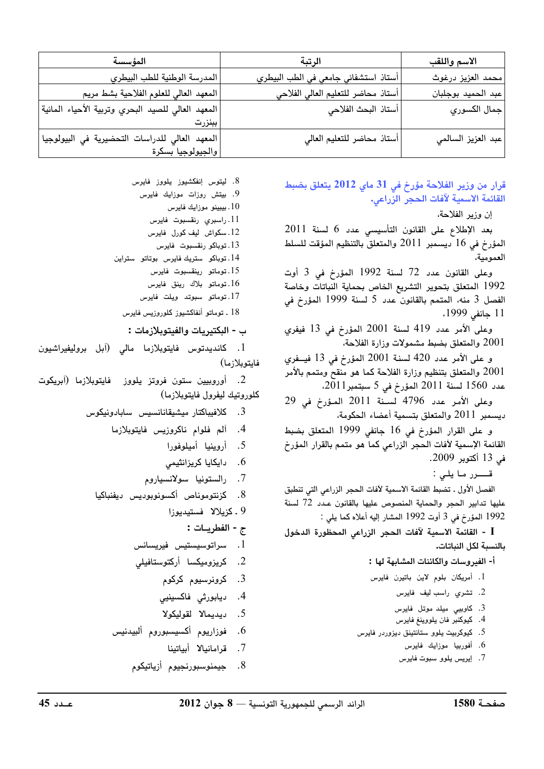| الرتبة                                                         | الاسم واللقب       |
|----------------------------------------------------------------|--------------------|
| أستاذ استشفائي جامعي في الطب البيطري                           | محمد العزيز درغوث  |
| أستاذ محاضر للتعليم العالي الفلاحي                             | عبد الحميد بوجلبان |
| ً أستاذ البحث الفلاحي                                          | جمال الكسوري       |
| ببنزرت                                                         |                    |
| أستاذ محاضر للتعليم العالي<br> والجيولوجيا بسكرة               | عبد العزيز السالمي |
| المعهد العالي للصيد البحري وتربية الأحياء المائية <sub>ا</sub> |                    |

قرار من وزير الفلاحة مؤرخ في 31 ماي 2012 يتعلق بضبط القائمة الاسمية لآفات الحجر الزراعى.

إن وزير الفلاحة،

بعد الإطلاع على القانون التأسيسي عدد 6 لسنة 2011 المؤرخ في 16 ديسمبر 2011 والمتعلق بالتنظيم المؤقت للسلط العمومية،

وعلى القانون عدد 72 لسنة 1992 المؤرخ في 3 أوت 1992 المتعلق بتحوير التشريع الخاص بحماية النباتات وخاصة الفصل 3 منه، المتمم بالقانون عدد 5 لسنة 1999 المؤرخ في 11 جانفي 1999،

وعلى الأمر عدد 419 لسنة 2001 المؤرخ في 13 فيفرى 2001 والمتعلق بضبط مشمولات وزارة الفلاحة،

و على الأمر عدد 420 لسنة 2001 المؤرخ في 13 فيــفرى والمتعلق بتنظيم وزارة الفلاحة كما هو منقح ومتمم بالأمر  $2001\,$ عدد 1560 لسنة 2011 المؤرخ في 5 سبتمبر2011،

وعلى الأمر عدد 4796 لسنة 2011 المؤرخ في 29 ديسمبر 2011 والمتعلق بتسمية أعضاء الحكومة،

و على القرار المؤرخ في 16 جانفي 1999 المتعلق بضبط القائمة الإسمية لآفات الحجر الزراعي كما هو متمم بالقرار المؤرخ في 13 أكتوبر 2009.

قــــــرر مـا يلـى :

الفصل الأول . تضبط القائمة الاسمية لآفات الحجر الزراعى التى تنطبق عليها تدابير الحجر والحماية المنصوص عليها بالقانون عدد 72 لسنة 1992 المؤرخ في 3 أوت 1992 المشار إليه أعلاه كما يلي :

I - القائمة الاسمية لآفات الحجر الزراعى المحظورة الدخول بالنسبة لكل النباتات.

أ- الفيروسات والكائنات المشابهة لها :

- 1. أمريكان بلوم لاين باتيرن فايرس
	- 2. تشري راسب ليف فايرس
	- 3. كاوبيى ميلد موتل فايرس
	- 4. كيوكنبر فان يلووينغ فايرس
- 5. كيوكربيت يلوو ستانتينق ديزوردر فايرس
	- 6. أفوربيا موزايك فايرس
	- 7. إيريس يلوو سبوت فايرس

8. ليتوس إنفكشيوز يلووز فايرس

9. بیتش روزات موزایك فایرس

- 10 . بيبينو موزايك فايرس
- .11 راسبری رنقسبوت فایرس
- 12. سكواش ليف كورل فايرس
- 13. توباكو رنقسبوت فايرس
- 14. توباكو ستريك فايرس بوتاتو ستراين 15. توماتو رينقسبوت فايرس
	- 16. توماتو بلاك رينق فايرس
	- 17. توماتو سبوتد ويلت فايرس
	- 18 ـ توماتو أنفاكشيوز كلوروزيس فايرس

ب - البكتيريات والفيتوبلازمات :

1. كانديدتوس فايتوبلازما مالى (آبل بروليفيراشيون فايتوبلازما)

2. أوروبيين ستون فروتز يلووز فايتوبلازما (آبريكوت كلوروتيك ليفرول فايتوبلازما)

- كلافيباكتار ميشيقانانسيس سابادونيكوس .3
	- 4. آلم فلوام ناكروزيس فايتوبلازما
		- 5. أروينيا أميلوفورا
		- . دایکایا کریزانثیمی
		- 7. رالستونيا سولانسياروم
	- 8. كزنتوموناص أكسونوبوديس ديفنباكيا
		- 9 ـ كزيلالا فستيديوزا
			- ج الفطريــات :
		- 1. سراتوسيستيس فيريسانس
		- 2. كريزوميكسا أركتوستافيلى
			- .<br>3. کرونرسیوم کرکوم
			- 4. ديابورثى فاكسينيى
			- 5. ديديمالا لقوليكولا
		- 6. فوزاريوم أكسيسبوروم ألبيدنيس
			- 7. قرامانيالا أيباتينا
			- . جيمنوسبورنجيوم أزياتيكوم .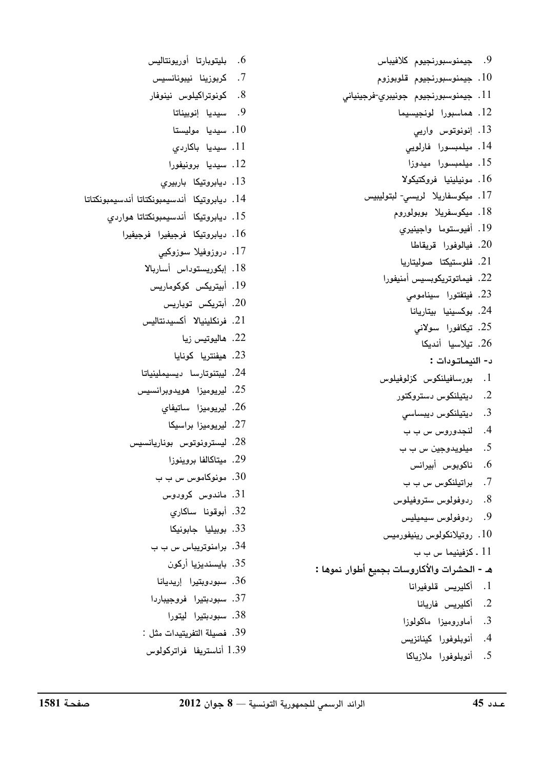9. جيمنوسبورنجيوم كلافيباس ا. جيمنوسبورنجيوم قلوبوزوم  $10$ .<br>11. جيمنوسبورنجيوم جونيبري-فرجينياني 12. هماسبورا لونجيسيما . انونوتوس وارب .<br>14. مىلمىسەرا فارلوپ 15. میلمبسورا میدوزا 16. مونيلينيا فروكتيكولا 17 . میکوسفاریلا - لریسے - لیتولیبیس .<br>18. مىكەسفىلا بويولوروم 19. أفيوستوما واجينيري .<br>20. فيالوفورا قريقاطا .<br>21. فلوستركتا صوليتاريا 22. فيماتوتريكوسييس أمنيفورا 23. فيتفتورا سيناموم*ي* .<br>24. بوكسينيا بيتاريانا 25. تیکافورا سولانی .<br>26. تىلاسىا أندىكا ن- النيماتودات : . بورسافیلنکوس کزلوفیلوس .<br>2. دېتىلنكەس دستروكتور B OR9 B .3 4. لنحدوروس س ب ب 5. مىلەيدە چىن س ب ب 6. ناكوبوس أبيرانس 7. براتيلنكوس س ب ب 8. ردوفولوس ستروفيلوس 9. ردوفولوس سيميليس ، و تيلانكولوس ، بنيفورميس ،  $10$ 11 . كزفينيما س ب ب هـ - الحشرات والأكاروسات بجميع أطوار نموها : 1. أكلب بس قلوف انا 2. أكليوس فلريانا 3. أماوروميزا ماكولوزا 4. أنويلوفورا كينانزيس

5. أنويلوفورا ملازياكا

- 7. كىمزىنا نىيونانسىس
- 8. كونوټراكيلوس نينوفار
	- 9. سيديا انوبيناتا
	- .<br>10. سىدىل مەلىستا
	- .<br>11. سىدىل ياكارد*ى*
	- .<br>12. سىدىل يومنىغورا
	- .<br>13. بىلەرقىكا بارسەي
- .<br>14. دياد وتيكا أندسيميونكتاتا أندسيميونكتاتا
	- .<br>15. ديادوتيكا أندسيميونكتاتا هواردي
		- . ديار وتيكا فرجيفرا فرجيفرا
			- 17. دروزوفیلا سوزوکیی
			- 18. ایکوریستوپ<sub>ا</sub>س آساریلا
				- 19 . أىت بكس كوكوماريس
					- .<br>20. أت يكس توباريس
			- 21. فرنكلينيالا أكسيدنتاليس
				- .<br>22. ھالىوتىس زيا
				- .<br>23. هيفنتريا كونايا
			- .<br>24. لېيتنوټارسا دېسىملىنىاتا
			- .<br>25. لديومنا هويدوبرانسيس
				- .<br>26. لديومذا ساتيفاي
					- .<br>27. لديومزا داسيكا
			- .<br>28. ليسترونوتوس بوناريانسيس
				- .<br>29. متاكالفا يروينوزا
				- . مونوكاموس س ب ب  $30$
				- . ماندوس كرودوس  $31\,$ 
					- 32. أبوقونا ساكاري
					- 33. بوبيليا جابونيكا
				- .<br>34. دامنوت بياس س ب ب
					- .<br>35. ياسىندىزيا أركون
				- .<br>36. سىودەپتىرا لايدىلغا
				- 37. سبودېتيرا <mark>فروجيبا</mark>ردا
					- 38. سبودبتيرا ليتورا
				- 39. فصيلة التفريتيدات مثل :
				- .<br>1.39 أناسترىفا فراتركملوس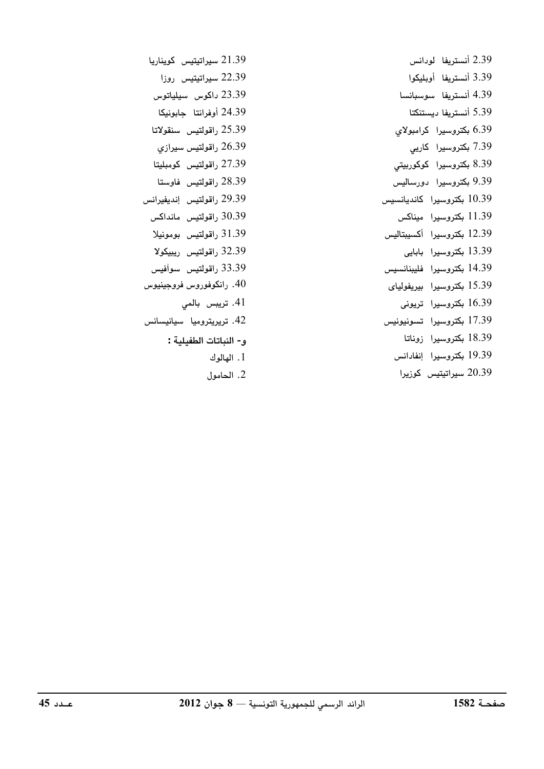2.39 أنست بفا له دانس 3.39 أنست بفا أويليكوا 4.39 أنستريفا ميوسيانسا 5.39 أنست بفا ديستنكتا بكتروسيرا كرامبولاي  $6.39$ 7.39 یکتاوسدا کارب 8.39 بكتروسيرا كوكوربيتي 9.39 بكتروسيرا دورساليس .<br>10.39 یکتروسدا کاندیانسیس 11.39 بكتروسيرا ميناكس 12.39 بكتروسيرا أكسيبتاليس 13.39 یکتاوسدا باباب 14.39 بكتروسيرا فليبنانسيس .<br>15.39 يكتروسيدا بيديفوليا*ي*  $16.39$  یکته $\mu$  تا بونی 17.39 بكتروسيرا تسونيونيس 18.39 بكتروسيرا زوناتا 19.39 بكتروسيرا إنفادانس سداتیتیس کوزیرا  $20.39$ 

- 21.39 سىراتىتىس كوينارى<u>ي</u>ا 22.39 سيراتيتيس روزا 23.39 داكوس سيلياتوس 24.39 أوفرانتا جابونيكا 25.39 راقولتيس سنقولاتا 26.39 راقولتيس سيرازي 27.39 راقولتيس كومبليتا 28.39 راقولتيس فاوستا اقولتيس انديفيرانس (نس) 30.39 راقولتيس مانداكس 31.39 راقولتيس بومونيلا ر اقولتىس رېيىگو**لا** (32.39 33.39 راقولتيس سوأفيس 40. رانكوفوروس فروجينيوس .<br>41. ترىس*ى* يالم .<br>42. ترديترومبا سيانسيانس .<br>1- النياتات الطفيلية : . الهالوك  $1$ 
	- 2. الحامول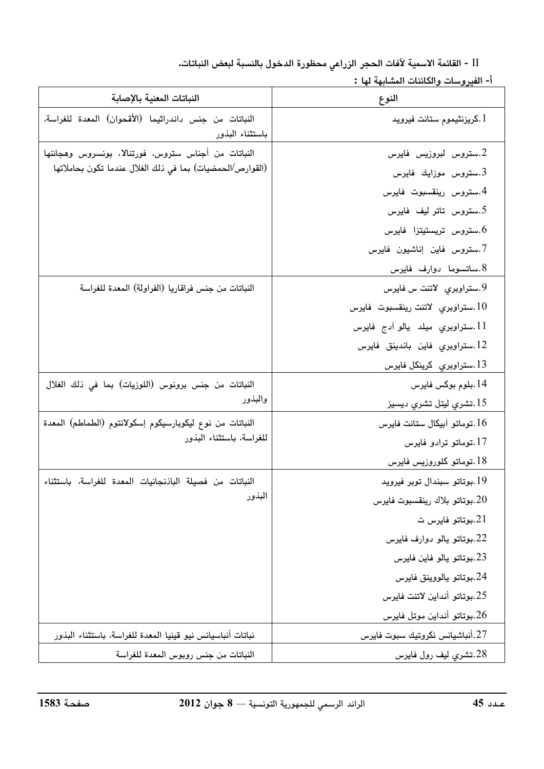II - القائمة الاسمية لآفات الحجر الزراعي محظورة الدخول بالنسبة لبعض النباتات.

أ- الفيروسات والكائنات المشابهة لها :

| النباتات المعنية بالإصابة                                                | النوع                               |
|--------------------------------------------------------------------------|-------------------------------------|
| النباتات من جنس داندراثيما (الأقحوان) المعدة للغراسة،<br>باستثناء البذور | 1.كريزنثيموم ستانت فيرويد           |
| النباتات من أجناس ستروس، فورتنالا، بونسروس وهجائنها                      | 2.ستروس لبروزيس فايرس               |
| (القوارص/الحمضيات) بما في ذلك الغلال عندما تكون بحاملاتها                | ستروس موزايك فايرس. $3\,$           |
|                                                                          | 4.ستروس رينقسبوت فايرس              |
|                                                                          | 5.ستروس تاتر ليف فايرس              |
|                                                                          | ستروس تريستيتزا فايرس. $6\,$        |
|                                                                          | 7.ستروس فاين إناشيون فايرس          |
|                                                                          | 8.ساتسوما دوارف فايرس               |
| النباتات من جنس فراقاريا (الفراولة) المعدة للغراسة                       | 9.ستراوبری لاتنت س فایرس            |
|                                                                          | ستراوبري لاتنت رينقسبوت فايرس. $10$ |
|                                                                          | 11.ستراوبري ميلد يالو آدج فايرس     |
|                                                                          | 12.ستراوبري فاين باندينق فايرس      |
|                                                                          | 13.ستراوبري كرينكل فايرس            |
| النباتات من جنس برونوس (اللوزيات) بما في ذلك الغلال                      | 14.بلوم بوكس فايرس                  |
| والبذور                                                                  | 15.تشري ليتل تشري ديسيز             |
| النباتات من نوع ليكوبارسيكوم إسكولانتوم (الطماطم) المعدة                 | 16.توماتو آبیکال ستانت فایرس        |
| للغراسة، باستثناء البذور                                                 | 17.توماتو ترادو فايرس               |
|                                                                          | 18.توماتو كلوروزيس فايرس            |
| النباتات من فصيلة الباذنجانيات المعدة للغراسة، باستثناء                  | 19.بوتاتو سبندال توبر فيرويد        |
| البذور                                                                   | 20.بوتاتو بلاك رينقسبوت فايرس       |
|                                                                          | بوتاتو فايرس ت. $21\,$              |
|                                                                          | 22.بوتاتو يالو دوارف فايرس          |
|                                                                          | 23.بوتاتو يالو فاين فايرس           |
|                                                                          | 24.بوتاتو يالووينق فايرس            |
|                                                                          | 25.بوتاتو أنداين لاتنت فايرس        |
|                                                                          | 26.بوتاتو أنداين موتل فايرس         |
| نباتات أنباسيانس نيو قينيا المعدة للغراسة، باستثناء البذور               | 27.أنباشيانس نكروتيك سبوت فايرس     |
| النباتات من جنس روبوس المعدة للغراسة                                     | 28.تشرى ليف رول فايرس               |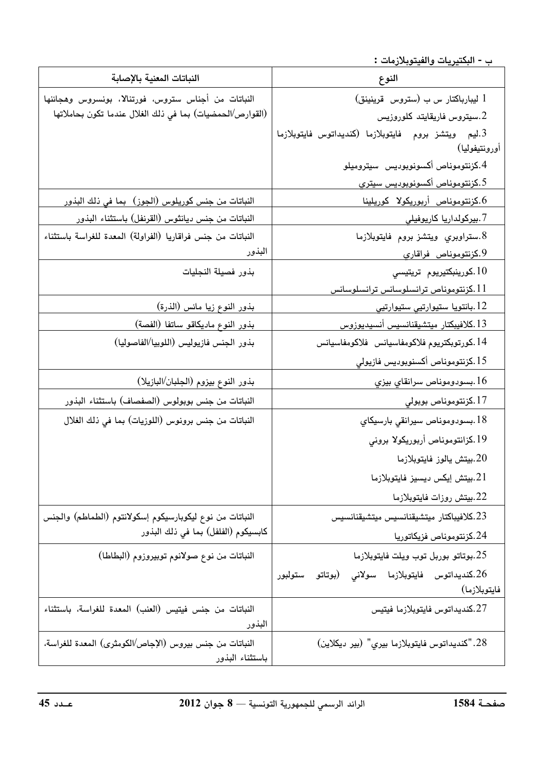\_\_ ب - البكتيريات والفيتوبلازمات **:** 

| النباتات المعنية بالإصابة                                   | النوع                                                                  |
|-------------------------------------------------------------|------------------------------------------------------------------------|
| النباتات من أجناس ستروس، فورتنالا، بونسروس وهجائنها         | 1 ليبارباكتار س ب (ستروس قرينينق)                                      |
| (القوارص/الحمضيات) بما في ذلك الغلال عندما تكون بحاملاتها   | سيتروس فاريقايتد كلوروزيس. $2\,$                                       |
|                                                             | 3.ليم ويتشز بروم فايتوبلازما (كنديداتوس فايتوبلازما                    |
|                                                             | أورونتيفوليا)                                                          |
|                                                             | 4.كزنتوموناص أكسونوبوديس سيتروميلو                                     |
|                                                             | 5.كزنتوموناص أكسونوبوديس سيتري                                         |
| <u>النباتات من جنس كوريلوس (الجوز)  بما في ذلك البذور</u>   | كزنتوموناص أربوريكولا كوريلينا.                                        |
| النباتات من جنس ديانثوس (القرنفل) باستثناء البذور           | 7.بيركولداريا كاريوفيلي                                                |
| النباتات من جنس فراقاريا (الفراولة) المعدة للغراسة باستثناء | 8.ستراوبري ويتشز بروم فايتوبلازما                                      |
| البذور                                                      | <u>9.كزنتوموناص فراقاري</u>                                            |
| بذور فصيلة النجليات                                         | 10.كورينبكتيريوم تريتيسي                                               |
|                                                             | كزنتوموناص ترانسلوسانس ترانسلوسانس. $1\,1\,$                           |
| بذور النوع زيا مائس (الذرة)                                 | <u>12 بانتويا ستيوارتيي ستيوارتيي</u>                                  |
| بذور النوع ماديكاقو ساتفا (الفصة)                           | 13.كلافيبكتار ميتشيقنانسيس أنسيديوزوس                                  |
| بذور الجنس فازيوليس (اللوبيا/الفاصوليا)                     | 14.كورتوبكتريوم فلاكومفاسيانس فلاكومفاسيانس                            |
|                                                             | 15.كزنتوموناص أكسنوبوديس فازيولي                                       |
| بذور النوع بيزوم (الجلبان/البازيلا)                         | 16.بسىودوموناص سرانقاي بيزي                                            |
| النباتات من جنس بوبولوس (الصفصاف) باستثناء البذور           | 17.كزنتوموناص بوبولي                                                   |
| النباتات من جنس برونوس (اللوزيات) بما في ذلك الغلال         | 18.بسودوموناص سيرانقي بارسيكاي                                         |
|                                                             | 19.كزانتوموناص أربوريكولا بروني                                        |
|                                                             | بيتش يالوز فايتوبلازما. $20\,$                                         |
|                                                             | 21.بيتش إيكس ديسيز فايتوبلازما                                         |
|                                                             | 22.بيتش روزات فايتوبلازما                                              |
| النباتات من نوع ليكوبارسيكوم إسكولانتوم (الطماطم) والجنس    | 23.كلافيباكتار ميتشيقنانسيس ميتشيقنانسيس                               |
| كابسيكوم (الفلفل) بما في ذلك البذور                         | 24.كزنتوموناص فزيكاتوريا                                               |
| النباتات من نوع صولانوم توبيروزوم (البطاطا)                 | 25.بوتاتو بوربل توب ويلت فايتوبلازما                                   |
|                                                             | كنديداتوس فايتوبلازما سولانى (بوتاتو ستولبور. $26\,$                   |
|                                                             | فايتوبلازما)                                                           |
| النباتات من جنس فيتيس (العنب) المعدة للغراسة، باستثناء      | 27.كنديداتوس فايتوبلازما فيتيس                                         |
| البذور                                                      |                                                                        |
| النباتات من جنس بيروس (الإجاص/الكومثري) المعدة للغراسة،     | 28."كنديداتوس فايتوبلازما بيري" (بير ديكلاين)                          |
| باستثناء البذور                                             |                                                                        |
|                                                             |                                                                        |
| عـدد 45                                                     | $12012$ الرائد الرسمي للجمهورية التونسية $\sim 8-8$ حوان<br>صفحـة 1584 |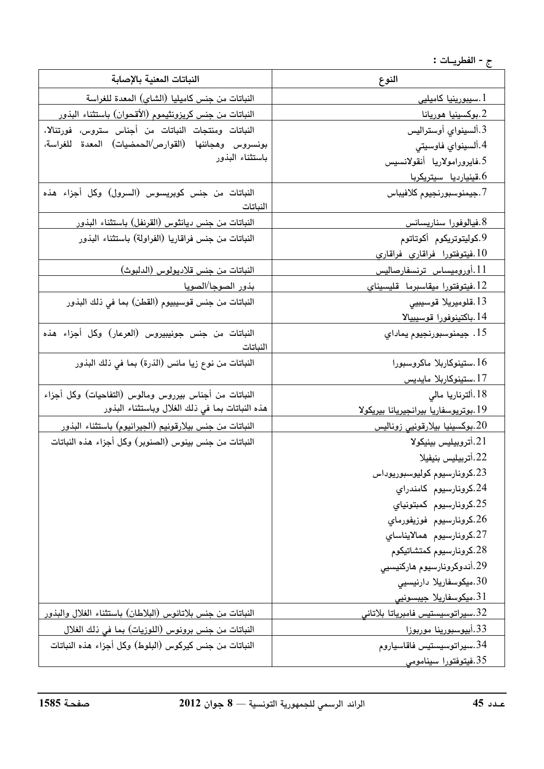ج - الفطريــات :

| النباتات المعنية بالإصابة                                     | النوع                                 |
|---------------------------------------------------------------|---------------------------------------|
| النباتات من جنس كاميليا (الشاي) المعدة للغراسة                | <u>ا .سیبورینیا کامیلیی</u>           |
| النباتات من جنس كريزونثيموم (الأقحوان) باستثناء البذور        | بوكسينيا هوريانا. $\,2$               |
| النباتات ومنتجات النباتات من أجناس ستروس، فورتنالا،           | 3.ألسينواي أوستراليس                  |
| بونسروس وهجائنها (القوارص/الحمضيات) المعدة للغراسة،           | 4.ألسينواي فاوسيتى                    |
| باستثناء البذور                                               | 5.فايرورامولاريا أنقولانسيس           |
|                                                               | 6.قینیاردیا سیتریکربا                 |
| النباتات من جنس كوبريسوس (السرول) وكل أجزاء هذه<br>النباتات   | 7.جيمنوسبورنجيوم كلافيباس             |
| النباتات من جنس ديانثوس (القرنفل) باستثناء البذور             | 8.فيالوفورا سناريسانس                 |
| النباتات من جنس فراقاريا (الفراولة) باستثناء البذور           | 9.كوليتوتريكوم أكوتاتوم               |
|                                                               | فيتوفتورا فراقاري فراقاري. $10$       |
| النباتات من جنس قلاديولوس (الدلبوث)                           | 11.أوروميساس ترنسفارصاليس             |
| بذور الصوجا/الصويا                                            | 12.فيتوفتورا ميقاسبرما  قليسيناي      |
| النباتات من جنس قوسيبيوم (القطن) بما في ذلك البذور            | 13.قلوميريلا قوسيبيي                  |
|                                                               | 14.باكتينوفورا قوسيبيالا              |
| النباتات من جنس جونيبيروس (العرعار) وكل أجزاء هذه<br>النباتات | 15. جيمنوسبورنجيوم يماداي             |
| النباتات من نوع زيا مائس (الذرة) بما في ذلك البذور            | 16.ستينوكاربلا ماكروسبورا             |
|                                                               | <u>17.ستینوکاربلا مایدیس</u>          |
| النباتات من أجناس بيرروس ومالوس (التفاحيات) وكل أجزاء         | 18.ألترناريا مالي                     |
| هذه النباتات بما في ذلك الغلال وباستثناء البذور               | 19.بوتريوسفاريا بيرانجيريانا بيريكولا |
| النباتات من جنس بيلارقونيم (الجيرانيوم) باستثناء البذور       | بوكسينيا بيلارقونيي زوناليس. $20\,$   |
| النباتات من جنس بينوس (الصنوبر) وكل أجزاء هذه النباتات        | 21.أتروبيليس بينيكولا                 |
|                                                               | 22.أتربيليس بنيفيلا                   |
|                                                               | 23.كرونارسيوم كوليوسبوريوداس          |
|                                                               | 24.كرونارسيوم كامندراي                |
|                                                               | 25.كرونارسيوم كمبتونياي               |
|                                                               | 26.كرونارسيوم فوزيفورماي              |
|                                                               | 27.كرونارسيوم همالايناساي             |
|                                                               | 28.كرونارسيوم كمتشاتيكوم              |
|                                                               | 29.أندوكرونارسيوم هاركنيسيي           |
|                                                               | 30.میکوسفاریلا دارنیسیی               |
|                                                               | ميكوسفاريلا جيبسونيى. $31\,$          |
| النباتات من جنس بلاتانوس (البلاطان) باستثناء الغلال والبذور   | 32.سيراتوسيستيس فامبرياتا بلاتاني     |
| النباتات من جنس برونوس (اللوزيات) بما في ذلك الغلال           | 33.أبيوسبورينا موربوزا                |
| النباتات من جنس كيركوس (البلوط) وكل أجزاء هذه النباتات        | 34.سيراتوسيستيس فاقاسياروم            |
|                                                               | 35.فیتوفتورا سینامومی                 |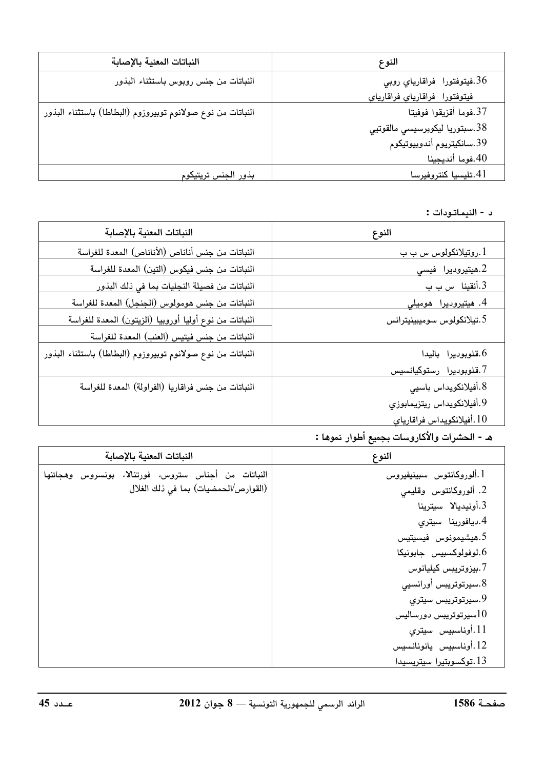| النباتات المعنية بالإصابة                                   | النوع                          |
|-------------------------------------------------------------|--------------------------------|
| النباتات من جنس روبوس باستثناء البذور                       | 36.فيتوفتورا فراقارياي روبي    |
|                                                             | فيتوفتورا فراقارياي فراقارياي  |
| النباتات من نوع صولانوم توبيروزوم (البطاطا) باستثناء البذور | 37.فوما أقزيقوا فوفيتا         |
|                                                             | 38.سبتوريا ليكوبرسيسي مالقوتيي |
|                                                             | 39.سانكيتريوم أندوبيوتيكوم     |
|                                                             | 40.فوما أنديجينا               |
| بذور الجنس تريتيكوم                                         | 41.تليسيا كنتروفيرسا           |

## د - النيماتـودات :

| النباتات المعنية بالإصابة                                   | النوع                        |
|-------------------------------------------------------------|------------------------------|
| النباتات من جنس أناناص (الأناناص) المعدة للغراسة            | <u>ا .روتيلانکولوس س ب ب</u> |
| النباتات من جنس فيكوس (التين) المعدة للغراسة                | 2.ھیت <u>یرودیرا فیسی</u>    |
| النباتات من فصيلة النجليات بما في ذلك البذور                | 3.أنقين <u>ا س ب ب</u>       |
| النباتات من جنس هومولوس (الجنجل) المعدة للغراسة             | 4. هیتیرودیرا  هومیلی        |
| النباتات من نوع أوليا أوروبيا (الزيتون) المعدة للغراسة      | 5.تيلانكولوس سوميبينيترانس   |
| النباتات من جنس فيتيس (العنب) المعدة للغراسة                |                              |
| النباتات من نوع صولانوم توبيروزوم (البطاطا) باستثناء البذور | قلوبوديرا باليدا. $6\,$      |
|                                                             | 7.قلوبوديرا رستوكيانسيس      |
| النباتات من جنس فراقاريا (الفراولة) المعدة للغراسة          | 8.أفيلانكويداس باسيى         |
|                                                             | 9.أفيلانكويداس ريتزيمابوزي   |
|                                                             | 10.أفيلانكويداس فراقارياي    |

## هـ - الحشرات والأكاروسات بجميع أطوار نموها :

| النباتات المعنية بالإصابة                                                                   | النوع                                                                                                                                                                                                                                                                                              |
|---------------------------------------------------------------------------------------------|----------------------------------------------------------------------------------------------------------------------------------------------------------------------------------------------------------------------------------------------------------------------------------------------------|
| النباتات من أجناس ستروس، فورتنالا، بونسروس وهجائنها<br>(القوارص/الحمضيات) بما في ذلك الغلال | 1.ألوروكانتوس سبينيفيروس<br>2. ألوروكانتوس وقليمى<br>3.أونيديالا سيترينا<br>4.ديافورينا سيتري<br>6.ھيشيمونوس فيسيتيس<br>6.لوفولوكسبيس جابونيكا<br>7.بيزوتريبس كيليانوس<br>8.سيرتوتريبس أورانسيي<br>9.سيرتوتريبس سيتري<br>سيرتوتريبس دورساليس $10\,$<br>11.أوناسبيس سيتري<br>12.أوناسبيس يانونانسيس |
|                                                                                             | 13.توكسوبتيرا سيتريسيدا                                                                                                                                                                                                                                                                            |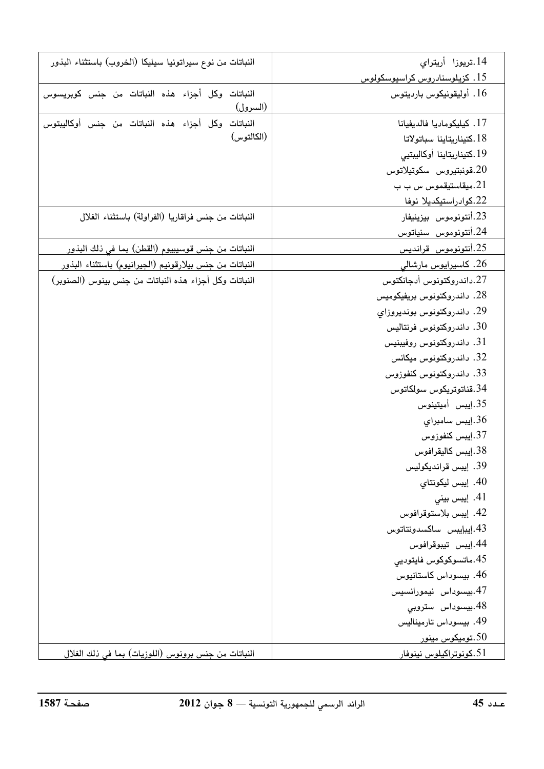| النباتات من نوع سيراتونيا سيليكا (الخروب) باستثناء البذور        | 14.تريوزا أريتراي             |
|------------------------------------------------------------------|-------------------------------|
|                                                                  | 15. كزيلوسنادروس كراسيوسكولوس |
| النباتات وكل أجزاء هذه النباتات من جنس كوبريسوس<br>(السرول)      | 16. أوليقونيكوس بارديتوس      |
| النباتات وكل أجزاء هذه النباتات من جنس أوكاليبتوس                | 17. كيليكوماديا فالديفيانا    |
| (الكالتوس)                                                       | 18.كتيناريتاينا سباتولاتا     |
|                                                                  | 19.كتيناريتاينا أوكاليبتيى    |
|                                                                  | قونېتيروس سكوتيلاتوس. $20\,$  |
|                                                                  | ميقاستيقموس س ب ب. $21\,$     |
|                                                                  | 22.كوادراستيكديلا نوفا        |
| النباتات من جنس فراقاريا (الفراولة) باستثناء الغلال              | 23.أنتونوموس بيزينيفار        |
|                                                                  | 24.أنتونوموس سنياتوس          |
| النباتات من جنس قوسيبيوم (القطن) بما في ذلك البذور               | 25.أنتونوموس قرانديس          |
| النباتات من جنس بيلارقونيم (الجيرانيوم) باستثناء البذور          | 26. كاسيرايوس مارشالى         |
| النباتات وكل أجزاء هذه النباتات من جنس بينوس (الصنوبر)           | 27.داندروكتونوس أدجانكتوس     |
|                                                                  | 28. داندروكتونوس بريفيكوميس   |
|                                                                  | 29. داندروكتونوس بونديروزاي   |
|                                                                  | داندروكتونوس فرنتاليس . $30$  |
|                                                                  | 31. داندروكتونوس روفيبنيس     |
|                                                                  | 32. داندروکتونوس میکانس       |
|                                                                  | 33. داندروكتونوس كنفوزوس      |
|                                                                  | 34.قناتوتريكوس سولكاتوس       |
|                                                                  | 35.إيبس أميتينوس              |
|                                                                  | 36.إيبس سامبراي               |
|                                                                  | 37.إيبس كنفوزوس               |
|                                                                  | 38.إيبس كاليقرافوس            |
|                                                                  | 39. إيبس قرانديكوليس          |
|                                                                  | 40. إيبس ليكونتاي             |
|                                                                  | 41. إيبس بيني                 |
|                                                                  | 42. إيبس بلاستوقرافوس         |
|                                                                  | 43.إيبإيبس ساكسدونتاتوس       |
|                                                                  | 44.إيبس تيبوقرافوس            |
|                                                                  | 45.ماتسوكوكوس فايتوديى        |
|                                                                  | 46. بيسوداس كاستانيوس         |
|                                                                  | 47.بيسوداس نيمورانسيس         |
|                                                                  | 48.بيسوداس ستروبي             |
|                                                                  | 49. بيسوداس تارميناليس        |
|                                                                  | تومیکوس مینور. $50\,$         |
| النباتات من جنس برونوس (اللوزيات) بما في ذلك الغلال              | 51.كونوتراكيلوس نينوفار       |
| صفحة 1587<br>$2012$ الرائد الرسمي للجمهورية التونسية $-8-8$ حوان | عدد 45                        |